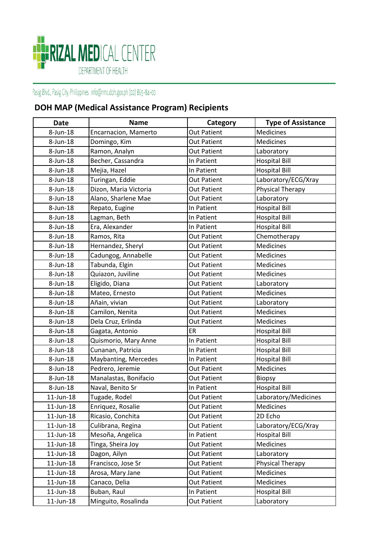

## Pasig Blvd., Pasig City, Philippines info@rmc.doh.gov.ph (02) 865-84-00

## **DOH MAP (Medical Assistance Program) Recipients**

| <b>Date</b>     | <b>Name</b>           | Category           | <b>Type of Assistance</b> |
|-----------------|-----------------------|--------------------|---------------------------|
| 8-Jun-18        | Encarnacion, Mamerto  | <b>Out Patient</b> | Medicines                 |
| 8-Jun-18        | Domingo, Kim          | <b>Out Patient</b> | Medicines                 |
| 8-Jun-18        | Ramon, Analyn         | <b>Out Patient</b> | Laboratory                |
| 8-Jun-18        | Becher, Cassandra     | In Patient         | <b>Hospital Bill</b>      |
| 8-Jun-18        | Mejia, Hazel          | In Patient         | <b>Hospital Bill</b>      |
| 8-Jun-18        | Turingan, Eddie       | <b>Out Patient</b> | Laboratory/ECG/Xray       |
| 8-Jun-18        | Dizon, Maria Victoria | <b>Out Patient</b> | Physical Therapy          |
| 8-Jun-18        | Alano, Sharlene Mae   | Out Patient        | Laboratory                |
| 8-Jun-18        | Repato, Eugine        | In Patient         | <b>Hospital Bill</b>      |
| 8-Jun-18        | Lagman, Beth          | In Patient         | <b>Hospital Bill</b>      |
| 8-Jun-18        | Era, Alexander        | In Patient         | <b>Hospital Bill</b>      |
| 8-Jun-18        | Ramos, Rita           | <b>Out Patient</b> | Chemotherapy              |
| 8-Jun-18        | Hernandez, Sheryl     | <b>Out Patient</b> | <b>Medicines</b>          |
| 8-Jun-18        | Cadungog, Annabelle   | <b>Out Patient</b> | Medicines                 |
| 8-Jun-18        | Tabunda, Elgin        | <b>Out Patient</b> | Medicines                 |
| 8-Jun-18        | Quiazon, Juviline     | Out Patient        | Medicines                 |
| 8-Jun-18        | Eligido, Diana        | <b>Out Patient</b> | Laboratory                |
| 8-Jun-18        | Mateo, Ernesto        | <b>Out Patient</b> | Medicines                 |
| 8-Jun-18        | Añain, vivian         | <b>Out Patient</b> | Laboratory                |
| 8-Jun-18        | Camilon, Nenita       | <b>Out Patient</b> | Medicines                 |
| 8-Jun-18        | Dela Cruz, Erlinda    | Out Patient        | Medicines                 |
| 8-Jun-18        | Gagata, Antonio       | ER                 | <b>Hospital Bill</b>      |
| 8-Jun-18        | Quismorio, Mary Anne  | In Patient         | <b>Hospital Bill</b>      |
| 8-Jun-18        | Cunanan, Patricia     | In Patient         | <b>Hospital Bill</b>      |
| 8-Jun-18        | Maybanting, Mercedes  | In Patient         | <b>Hospital Bill</b>      |
| 8-Jun-18        | Pedrero, Jeremie      | <b>Out Patient</b> | Medicines                 |
| 8-Jun-18        | Manalastas, Bonifacio | <b>Out Patient</b> | <b>Biopsy</b>             |
| 8-Jun-18        | Naval, Benito Sr      | In Patient         | <b>Hospital Bill</b>      |
| 11-Jun-18       | Tugade, Rodel         | <b>Out Patient</b> | Laboratory/Medicines      |
| 11-Jun-18       | Enriquez, Rosalie     | <b>Out Patient</b> | <b>Medicines</b>          |
| 11-Jun-18       | Ricasio, Conchita     | Out Patient        | 2D Echo                   |
| 11-Jun-18       | Culibrana, Regina     | <b>Out Patient</b> | Laboratory/ECG/Xray       |
| 11-Jun-18       | Mesoña, Angelica      | In Patient         | <b>Hospital Bill</b>      |
| $11$ -Jun-18    | Tinga, Sheira Joy     | Out Patient        | Medicines                 |
| 11-Jun-18       | Dagon, Ailyn          | <b>Out Patient</b> | Laboratory                |
| $11$ -Jun- $18$ | Francisco, Jose Sr    | Out Patient        | Physical Therapy          |
| 11-Jun-18       | Arosa, Mary Jane      | Out Patient        | Medicines                 |
| 11-Jun-18       | Canaco, Delia         | Out Patient        | Medicines                 |
| 11-Jun-18       | Buban, Raul           | In Patient         | <b>Hospital Bill</b>      |
| $11$ -Jun- $18$ | Minguito, Rosalinda   | Out Patient        | Laboratory                |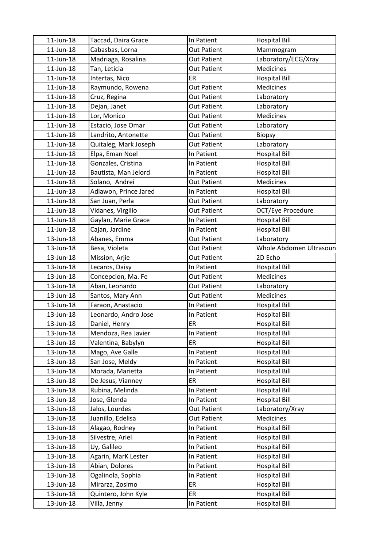| 11-Jun-18       | Taccad, Daira Grace   | In Patient         | <b>Hospital Bill</b>    |
|-----------------|-----------------------|--------------------|-------------------------|
| 11-Jun-18       | Cabasbas, Lorna       | <b>Out Patient</b> | Mammogram               |
| 11-Jun-18       | Madriaga, Rosalina    | <b>Out Patient</b> | Laboratory/ECG/Xray     |
| 11-Jun-18       | Tan, Leticia          | <b>Out Patient</b> | <b>Medicines</b>        |
| 11-Jun-18       | Intertas, Nico        | ER                 | <b>Hospital Bill</b>    |
| 11-Jun-18       | Raymundo, Rowena      | <b>Out Patient</b> | <b>Medicines</b>        |
| 11-Jun-18       | Cruz, Regina          | <b>Out Patient</b> | Laboratory              |
| 11-Jun-18       | Dejan, Janet          | <b>Out Patient</b> | Laboratory              |
| 11-Jun-18       | Lor, Monico           | <b>Out Patient</b> | <b>Medicines</b>        |
| 11-Jun-18       | Estacio, Jose Omar    | <b>Out Patient</b> | Laboratory              |
| 11-Jun-18       | Landrito, Antonette   | <b>Out Patient</b> | <b>Biopsy</b>           |
| 11-Jun-18       | Quitaleg, Mark Joseph | Out Patient        | Laboratory              |
| 11-Jun-18       | Elpa, Eman Noel       | In Patient         | <b>Hospital Bill</b>    |
| $11$ -Jun- $18$ | Gonzales, Cristina    | In Patient         | <b>Hospital Bill</b>    |
| 11-Jun-18       | Bautista, Man Jelord  | In Patient         | <b>Hospital Bill</b>    |
| 11-Jun-18       | Solano, Andrei        | <b>Out Patient</b> | <b>Medicines</b>        |
| 11-Jun-18       | Adlawon, Prince Jared | In Patient         | <b>Hospital Bill</b>    |
| 11-Jun-18       | San Juan, Perla       | <b>Out Patient</b> | Laboratory              |
| 11-Jun-18       | Vidanes, Virgilio     | <b>Out Patient</b> | OCT/Eye Procedure       |
| $11$ -Jun- $18$ | Gaylan, Marie Grace   | In Patient         | <b>Hospital Bill</b>    |
| 11-Jun-18       | Cajan, Jardine        | In Patient         | <b>Hospital Bill</b>    |
| 13-Jun-18       | Abanes, Emma          | <b>Out Patient</b> | Laboratory              |
| 13-Jun-18       | Besa, Violeta         | <b>Out Patient</b> | Whole Abdomen Ultrasoun |
| 13-Jun-18       | Mission, Arjie        | <b>Out Patient</b> | 2D Echo                 |
| 13-Jun-18       | Lecaros, Daisy        | In Patient         | <b>Hospital Bill</b>    |
| 13-Jun-18       | Concepcion, Ma. Fe    | <b>Out Patient</b> | <b>Medicines</b>        |
| 13-Jun-18       | Aban, Leonardo        | <b>Out Patient</b> | Laboratory              |
| 13-Jun-18       | Santos, Mary Ann      | <b>Out Patient</b> | Medicines               |
| 13-Jun-18       | Faraon, Anastacio     | In Patient         | <b>Hospital Bill</b>    |
| 13-Jun-18       | Leonardo, Andro Jose  | In Patient         | <b>Hospital Bill</b>    |
| 13-Jun-18       | Daniel, Henry         | ER                 | <b>Hospital Bill</b>    |
| 13-Jun-18       | Mendoza, Rea Javier   | In Patient         | <b>Hospital Bill</b>    |
| 13-Jun-18       | Valentina, Babylyn    | <b>ER</b>          | <b>Hospital Bill</b>    |
| 13-Jun-18       | Mago, Ave Galle       | In Patient         | <b>Hospital Bill</b>    |
| 13-Jun-18       | San Jose, Meldy       | In Patient         | <b>Hospital Bill</b>    |
| 13-Jun-18       | Morada, Marietta      | In Patient         | <b>Hospital Bill</b>    |
| 13-Jun-18       | De Jesus, Vianney     | ER                 | <b>Hospital Bill</b>    |
| 13-Jun-18       | Rubina, Melinda       | In Patient         | <b>Hospital Bill</b>    |
| 13-Jun-18       | Jose, Glenda          | In Patient         | <b>Hospital Bill</b>    |
| 13-Jun-18       | Jalos, Lourdes        | <b>Out Patient</b> | Laboratory/Xray         |
| 13-Jun-18       | Juanillo, Edelisa     | <b>Out Patient</b> | Medicines               |
| 13-Jun-18       | Alagao, Rodney        | In Patient         | <b>Hospital Bill</b>    |
| 13-Jun-18       | Silvestre, Ariel      | In Patient         | <b>Hospital Bill</b>    |
| 13-Jun-18       | Uy, Galileo           | In Patient         | <b>Hospital Bill</b>    |
| 13-Jun-18       | Agarin, MarK Lester   | In Patient         | <b>Hospital Bill</b>    |
| 13-Jun-18       | Abian, Dolores        | In Patient         | <b>Hospital Bill</b>    |
| 13-Jun-18       | Ogalinola, Sophia     | In Patient         | <b>Hospital Bill</b>    |
| 13-Jun-18       | Mirarza, Zosimo       | ER                 | <b>Hospital Bill</b>    |
| 13-Jun-18       | Quintero, John Kyle   | ER                 | <b>Hospital Bill</b>    |
| 13-Jun-18       | Villa, Jenny          | In Patient         | <b>Hospital Bill</b>    |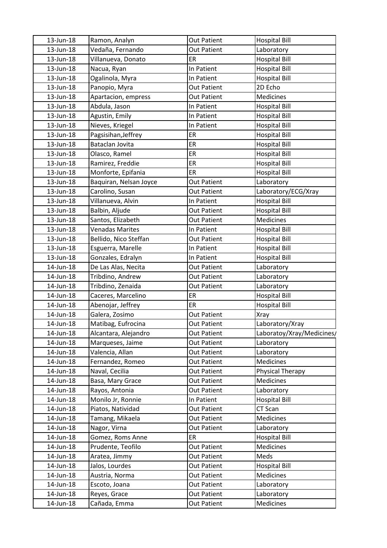| 13-Jun-18       | Ramon, Analyn          | <b>Out Patient</b> | <b>Hospital Bill</b>      |
|-----------------|------------------------|--------------------|---------------------------|
| 13-Jun-18       | Vedaña, Fernando       | <b>Out Patient</b> | Laboratory                |
| 13-Jun-18       | Villanueva, Donato     | ER                 | <b>Hospital Bill</b>      |
| 13-Jun-18       | Nacua, Ryan            | In Patient         | <b>Hospital Bill</b>      |
| 13-Jun-18       | Ogalinola, Myra        | In Patient         | <b>Hospital Bill</b>      |
| 13-Jun-18       | Panopio, Myra          | <b>Out Patient</b> | 2D Echo                   |
| $13$ -Jun- $18$ | Apartacion, empress    | <b>Out Patient</b> | Medicines                 |
| 13-Jun-18       | Abdula, Jason          | In Patient         | <b>Hospital Bill</b>      |
| 13-Jun-18       | Agustin, Emily         | In Patient         | <b>Hospital Bill</b>      |
| 13-Jun-18       | Nieves, Kriegel        | In Patient         | <b>Hospital Bill</b>      |
| 13-Jun-18       | Pagsisihan, Jeffrey    | ER                 | <b>Hospital Bill</b>      |
| 13-Jun-18       | Bataclan Jovita        | ER                 | <b>Hospital Bill</b>      |
| 13-Jun-18       | Olasco, Ramel          | ER                 | <b>Hospital Bill</b>      |
| 13-Jun-18       | Ramirez, Freddie       | ER                 | <b>Hospital Bill</b>      |
| 13-Jun-18       | Monforte, Epifania     | ER                 | <b>Hospital Bill</b>      |
| 13-Jun-18       | Baquiran, Nelsan Joyce | <b>Out Patient</b> | Laboratory                |
| 13-Jun-18       | Carolino, Susan        | <b>Out Patient</b> | Laboratory/ECG/Xray       |
| 13-Jun-18       | Villanueva, Alvin      | In Patient         | <b>Hospital Bill</b>      |
| 13-Jun-18       | Balbin, Aljude         | <b>Out Patient</b> | <b>Hospital Bill</b>      |
| 13-Jun-18       | Santos, Elizabeth      | <b>Out Patient</b> | <b>Medicines</b>          |
| 13-Jun-18       | Venadas Marites        | In Patient         | <b>Hospital Bill</b>      |
| 13-Jun-18       | Bellido, Nico Steffan  | <b>Out Patient</b> | <b>Hospital Bill</b>      |
| 13-Jun-18       | Esguerra, Marelle      | In Patient         | <b>Hospital Bill</b>      |
| 13-Jun-18       | Gonzales, Edralyn      | In Patient         | <b>Hospital Bill</b>      |
| 14-Jun-18       | De Las Alas, Necita    | <b>Out Patient</b> | Laboratory                |
| 14-Jun-18       | Tribdino, Andrew       | <b>Out Patient</b> | Laboratory                |
| 14-Jun-18       | Tribdino, Zenaida      | <b>Out Patient</b> | Laboratory                |
| 14-Jun-18       | Caceres, Marcelino     | ER                 | <b>Hospital Bill</b>      |
| 14-Jun-18       | Abenojar, Jeffrey      | ER                 | <b>Hospital Bill</b>      |
| 14-Jun-18       | Galera, Zosimo         | <b>Out Patient</b> | <b>Xray</b>               |
| 14-Jun-18       | Matibag, Eufrocina     | <b>Out Patient</b> | Laboratory/Xray           |
| 14-Jun-18       | Alcantara, Alejandro   | <b>Out Patient</b> | Laboratoy/Xray/Medicines/ |
| 14-Jun-18       | Marqueses, Jaime       | <b>Out Patient</b> | Laboratory                |
| 14-Jun-18       | Valencia, Allan        | <b>Out Patient</b> | Laboratory                |
| 14-Jun-18       | Fernandez, Romeo       | <b>Out Patient</b> | Medicines                 |
| 14-Jun-18       | Naval, Cecilia         | <b>Out Patient</b> | Physical Therapy          |
| 14-Jun-18       | Basa, Mary Grace       | <b>Out Patient</b> | Medicines                 |
| 14-Jun-18       | Rayos, Antonia         | <b>Out Patient</b> | Laboratory                |
| 14-Jun-18       | Monilo Jr, Ronnie      | In Patient         | <b>Hospital Bill</b>      |
| 14-Jun-18       | Piatos, Natividad      | <b>Out Patient</b> | CT Scan                   |
| 14-Jun-18       | Tamang, Mikaela        | <b>Out Patient</b> | Medicines                 |
| 14-Jun-18       | Nagor, Virna           | <b>Out Patient</b> | Laboratory                |
| 14-Jun-18       | Gomez, Roms Anne       | ER                 | <b>Hospital Bill</b>      |
| 14-Jun-18       | Prudente, Teofilo      | <b>Out Patient</b> | Medicines                 |
| 14-Jun-18       | Aratea, Jimmy          | <b>Out Patient</b> | Meds                      |
| 14-Jun-18       | Jalos, Lourdes         | <b>Out Patient</b> | <b>Hospital Bill</b>      |
| 14-Jun-18       | Austria, Norma         | <b>Out Patient</b> | Medicines                 |
| 14-Jun-18       | Escoto, Joana          | <b>Out Patient</b> | Laboratory                |
| 14-Jun-18       | Reyes, Grace           | <b>Out Patient</b> | Laboratory                |
| 14-Jun-18       | Cañada, Emma           | <b>Out Patient</b> | Medicines                 |
|                 |                        |                    |                           |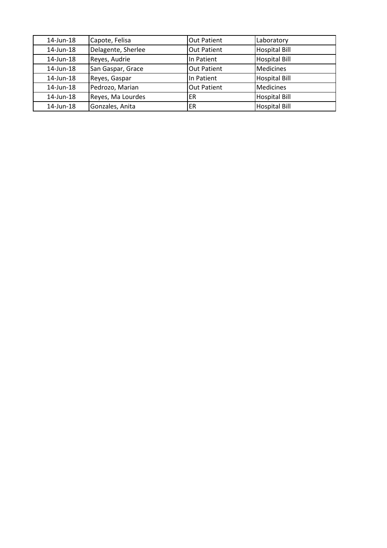| 14-Jun-18    | Capote, Felisa     | <b>Out Patient</b> | Laboratory       |
|--------------|--------------------|--------------------|------------------|
| 14-Jun-18    | Delagente, Sherlee | <b>Out Patient</b> | Hospital Bill    |
| 14-Jun-18    | Reyes, Audrie      | In Patient         | Hospital Bill    |
| $14$ -Jun-18 | San Gaspar, Grace  | <b>Out Patient</b> | <b>Medicines</b> |
| 14-Jun-18    | Reyes, Gaspar      | In Patient         | Hospital Bill    |
| 14-Jun-18    | Pedrozo, Marian    | <b>Out Patient</b> | Medicines        |
| 14-Jun-18    | Reyes, Ma Lourdes  | ER                 | Hospital Bill    |
| 14-Jun-18    | Gonzales, Anita    | ER                 | Hospital Bill    |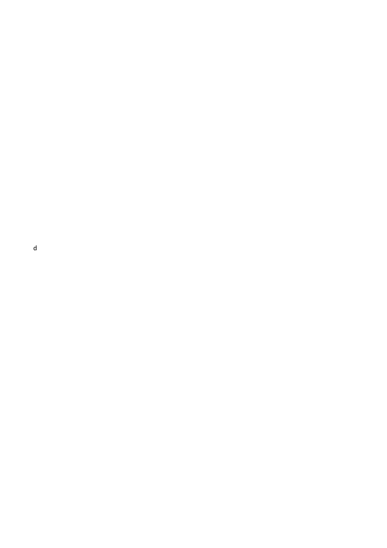Whole Abdomen Ultrasound